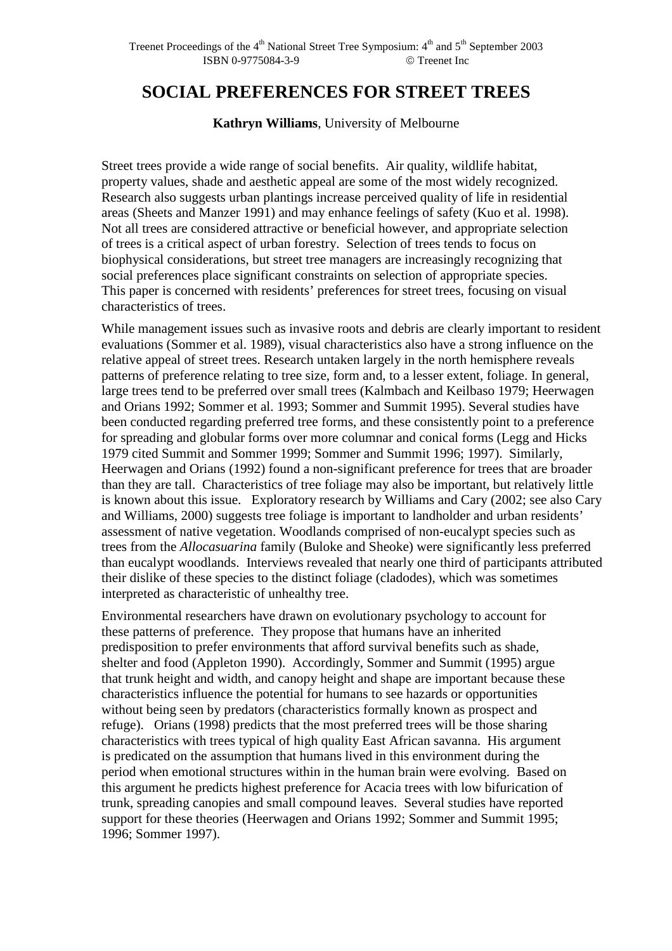# **SOCIAL PREFERENCES FOR STREET TREES**

**Kathryn Williams**, University of Melbourne

Street trees provide a wide range of social benefits. Air quality, wildlife habitat, property values, shade and aesthetic appeal are some of the most widely recognized. Research also suggests urban plantings increase perceived quality of life in residential areas (Sheets and Manzer 1991) and may enhance feelings of safety (Kuo et al. 1998). Not all trees are considered attractive or beneficial however, and appropriate selection of trees is a critical aspect of urban forestry. Selection of trees tends to focus on biophysical considerations, but street tree managers are increasingly recognizing that social preferences place significant constraints on selection of appropriate species. This paper is concerned with residents' preferences for street trees, focusing on visual characteristics of trees.

While management issues such as invasive roots and debris are clearly important to resident evaluations (Sommer et al. 1989), visual characteristics also have a strong influence on the relative appeal of street trees. Research untaken largely in the north hemisphere reveals patterns of preference relating to tree size, form and, to a lesser extent, foliage. In general, large trees tend to be preferred over small trees (Kalmbach and Keilbaso 1979; Heerwagen and Orians 1992; Sommer et al. 1993; Sommer and Summit 1995). Several studies have been conducted regarding preferred tree forms, and these consistently point to a preference for spreading and globular forms over more columnar and conical forms (Legg and Hicks 1979 cited Summit and Sommer 1999; Sommer and Summit 1996; 1997). Similarly, Heerwagen and Orians (1992) found a non-significant preference for trees that are broader than they are tall. Characteristics of tree foliage may also be important, but relatively little is known about this issue. Exploratory research by Williams and Cary (2002; see also Cary and Williams, 2000) suggests tree foliage is important to landholder and urban residents' assessment of native vegetation. Woodlands comprised of non-eucalypt species such as trees from the *Allocasuarina* family (Buloke and Sheoke) were significantly less preferred than eucalypt woodlands. Interviews revealed that nearly one third of participants attributed their dislike of these species to the distinct foliage (cladodes), which was sometimes interpreted as characteristic of unhealthy tree.

Environmental researchers have drawn on evolutionary psychology to account for these patterns of preference. They propose that humans have an inherited predisposition to prefer environments that afford survival benefits such as shade, shelter and food (Appleton 1990). Accordingly, Sommer and Summit (1995) argue that trunk height and width, and canopy height and shape are important because these characteristics influence the potential for humans to see hazards or opportunities without being seen by predators (characteristics formally known as prospect and refuge). Orians (1998) predicts that the most preferred trees will be those sharing characteristics with trees typical of high quality East African savanna. His argument is predicated on the assumption that humans lived in this environment during the period when emotional structures within in the human brain were evolving. Based on this argument he predicts highest preference for Acacia trees with low bifurication of trunk, spreading canopies and small compound leaves. Several studies have reported support for these theories (Heerwagen and Orians 1992; Sommer and Summit 1995; 1996; Sommer 1997).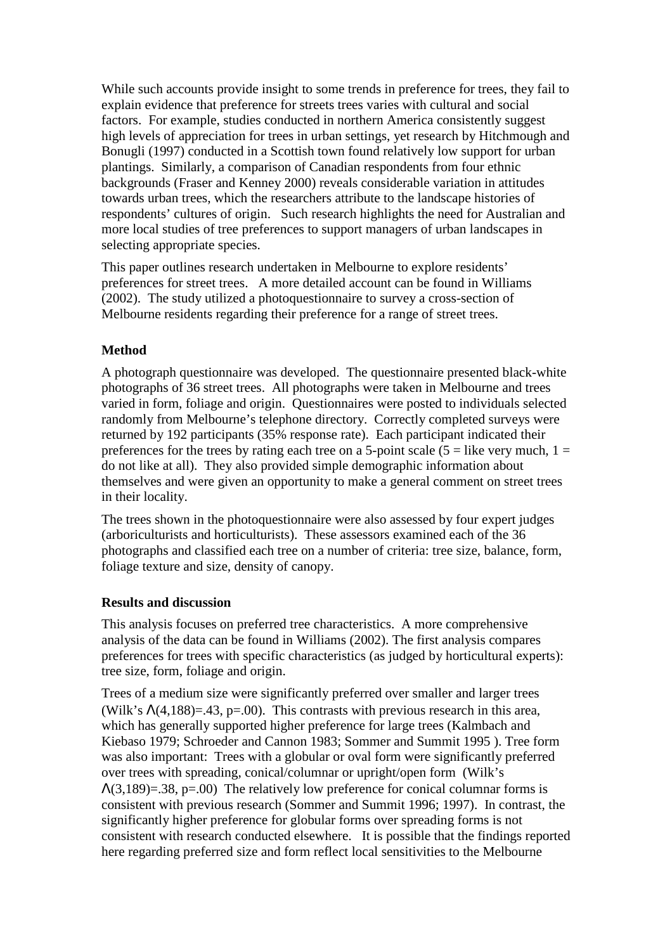While such accounts provide insight to some trends in preference for trees, they fail to explain evidence that preference for streets trees varies with cultural and social factors. For example, studies conducted in northern America consistently suggest high levels of appreciation for trees in urban settings, yet research by Hitchmough and Bonugli (1997) conducted in a Scottish town found relatively low support for urban plantings. Similarly, a comparison of Canadian respondents from four ethnic backgrounds (Fraser and Kenney 2000) reveals considerable variation in attitudes towards urban trees, which the researchers attribute to the landscape histories of respondents' cultures of origin. Such research highlights the need for Australian and more local studies of tree preferences to support managers of urban landscapes in selecting appropriate species.

This paper outlines research undertaken in Melbourne to explore residents' preferences for street trees. A more detailed account can be found in Williams (2002). The study utilized a photoquestionnaire to survey a cross-section of Melbourne residents regarding their preference for a range of street trees.

# **Method**

A photograph questionnaire was developed. The questionnaire presented black-white photographs of 36 street trees. All photographs were taken in Melbourne and trees varied in form, foliage and origin. Questionnaires were posted to individuals selected randomly from Melbourne's telephone directory. Correctly completed surveys were returned by 192 participants (35% response rate). Each participant indicated their preferences for the trees by rating each tree on a 5-point scale ( $5 =$  like very much,  $1 =$ do not like at all). They also provided simple demographic information about themselves and were given an opportunity to make a general comment on street trees in their locality.

The trees shown in the photoquestionnaire were also assessed by four expert judges (arboriculturists and horticulturists). These assessors examined each of the 36 photographs and classified each tree on a number of criteria: tree size, balance, form, foliage texture and size, density of canopy.

## **Results and discussion**

This analysis focuses on preferred tree characteristics. A more comprehensive analysis of the data can be found in Williams (2002). The first analysis compares preferences for trees with specific characteristics (as judged by horticultural experts): tree size, form, foliage and origin.

Trees of a medium size were significantly preferred over smaller and larger trees (Wilk's  $\Lambda$ (4,188)=.43, p=.00). This contrasts with previous research in this area, which has generally supported higher preference for large trees (Kalmbach and Kiebaso 1979; Schroeder and Cannon 1983; Sommer and Summit 1995 ). Tree form was also important: Trees with a globular or oval form were significantly preferred over trees with spreading, conical/columnar or upright/open form (Wilk's  $\Lambda(3,189)=.38$ , p=.00) The relatively low preference for conical columnar forms is consistent with previous research (Sommer and Summit 1996; 1997). In contrast, the significantly higher preference for globular forms over spreading forms is not consistent with research conducted elsewhere. It is possible that the findings reported here regarding preferred size and form reflect local sensitivities to the Melbourne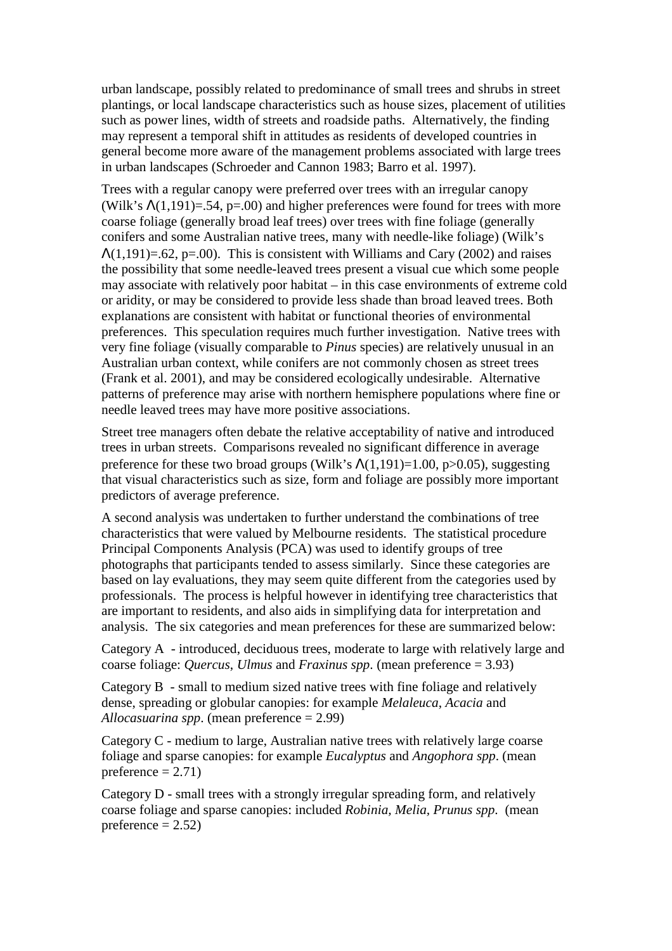urban landscape, possibly related to predominance of small trees and shrubs in street plantings, or local landscape characteristics such as house sizes, placement of utilities such as power lines, width of streets and roadside paths. Alternatively, the finding may represent a temporal shift in attitudes as residents of developed countries in general become more aware of the management problems associated with large trees in urban landscapes (Schroeder and Cannon 1983; Barro et al. 1997).

Trees with a regular canopy were preferred over trees with an irregular canopy (Wilk's  $\Lambda(1,191)=0.54$ , p=.00) and higher preferences were found for trees with more coarse foliage (generally broad leaf trees) over trees with fine foliage (generally conifers and some Australian native trees, many with needle-like foliage) (Wilk's  $\Lambda(1,191)=.62$ , p=.00). This is consistent with Williams and Cary (2002) and raises the possibility that some needle-leaved trees present a visual cue which some people may associate with relatively poor habitat – in this case environments of extreme cold or aridity, or may be considered to provide less shade than broad leaved trees. Both explanations are consistent with habitat or functional theories of environmental preferences. This speculation requires much further investigation. Native trees with very fine foliage (visually comparable to *Pinus* species) are relatively unusual in an Australian urban context, while conifers are not commonly chosen as street trees (Frank et al. 2001), and may be considered ecologically undesirable. Alternative patterns of preference may arise with northern hemisphere populations where fine or needle leaved trees may have more positive associations.

Street tree managers often debate the relative acceptability of native and introduced trees in urban streets. Comparisons revealed no significant difference in average preference for these two broad groups (Wilk's  $\Lambda(1.191)=1.00$ , p $>0.05$ ), suggesting that visual characteristics such as size, form and foliage are possibly more important predictors of average preference.

A second analysis was undertaken to further understand the combinations of tree characteristics that were valued by Melbourne residents. The statistical procedure Principal Components Analysis (PCA) was used to identify groups of tree photographs that participants tended to assess similarly. Since these categories are based on lay evaluations, they may seem quite different from the categories used by professionals. The process is helpful however in identifying tree characteristics that are important to residents, and also aids in simplifying data for interpretation and analysis. The six categories and mean preferences for these are summarized below:

Category A - introduced, deciduous trees, moderate to large with relatively large and coarse foliage: *Quercus*, *Ulmus* and *Fraxinus spp*. (mean preference = 3.93)

Category B - small to medium sized native trees with fine foliage and relatively dense, spreading or globular canopies: for example *Melaleuca*, *Acacia* and *Allocasuarina spp*. (mean preference = 2.99)

Category C - medium to large, Australian native trees with relatively large coarse foliage and sparse canopies: for example *Eucalyptus* and *Angophora spp*. (mean preference  $= 2.71$ )

Category D - small trees with a strongly irregular spreading form, and relatively coarse foliage and sparse canopies: included *Robinia, Melia, Prunus spp*. (mean preference  $= 2.52$ )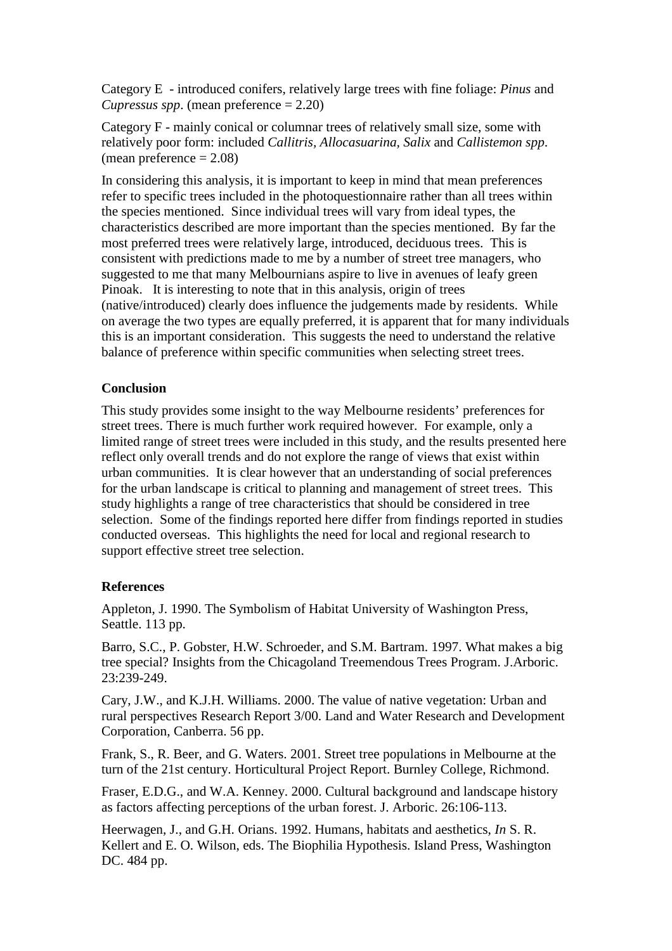Category E - introduced conifers, relatively large trees with fine foliage: *Pinus* and *Cupressus spp*. (mean preference = 2.20)

Category F - mainly conical or columnar trees of relatively small size, some with relatively poor form: included *Callitris, Allocasuarina, Salix* and *Callistemon spp*. (mean preference  $= 2.08$ )

In considering this analysis, it is important to keep in mind that mean preferences refer to specific trees included in the photoquestionnaire rather than all trees within the species mentioned. Since individual trees will vary from ideal types, the characteristics described are more important than the species mentioned. By far the most preferred trees were relatively large, introduced, deciduous trees. This is consistent with predictions made to me by a number of street tree managers, who suggested to me that many Melbournians aspire to live in avenues of leafy green Pinoak. It is interesting to note that in this analysis, origin of trees (native/introduced) clearly does influence the judgements made by residents. While on average the two types are equally preferred, it is apparent that for many individuals this is an important consideration. This suggests the need to understand the relative balance of preference within specific communities when selecting street trees.

### **Conclusion**

This study provides some insight to the way Melbourne residents' preferences for street trees. There is much further work required however. For example, only a limited range of street trees were included in this study, and the results presented here reflect only overall trends and do not explore the range of views that exist within urban communities. It is clear however that an understanding of social preferences for the urban landscape is critical to planning and management of street trees. This study highlights a range of tree characteristics that should be considered in tree selection. Some of the findings reported here differ from findings reported in studies conducted overseas. This highlights the need for local and regional research to support effective street tree selection.

### **References**

Appleton, J. 1990. The Symbolism of Habitat University of Washington Press, Seattle. 113 pp.

Barro, S.C., P. Gobster, H.W. Schroeder, and S.M. Bartram. 1997. What makes a big tree special? Insights from the Chicagoland Treemendous Trees Program. J.Arboric. 23:239-249.

Cary, J.W., and K.J.H. Williams. 2000. The value of native vegetation: Urban and rural perspectives Research Report 3/00. Land and Water Research and Development Corporation, Canberra. 56 pp.

Frank, S., R. Beer, and G. Waters. 2001. Street tree populations in Melbourne at the turn of the 21st century. Horticultural Project Report. Burnley College, Richmond.

Fraser, E.D.G., and W.A. Kenney. 2000. Cultural background and landscape history as factors affecting perceptions of the urban forest. J. Arboric. 26:106-113.

Heerwagen, J., and G.H. Orians. 1992. Humans, habitats and aesthetics, *In* S. R. Kellert and E. O. Wilson, eds. The Biophilia Hypothesis. Island Press, Washington DC. 484 pp.